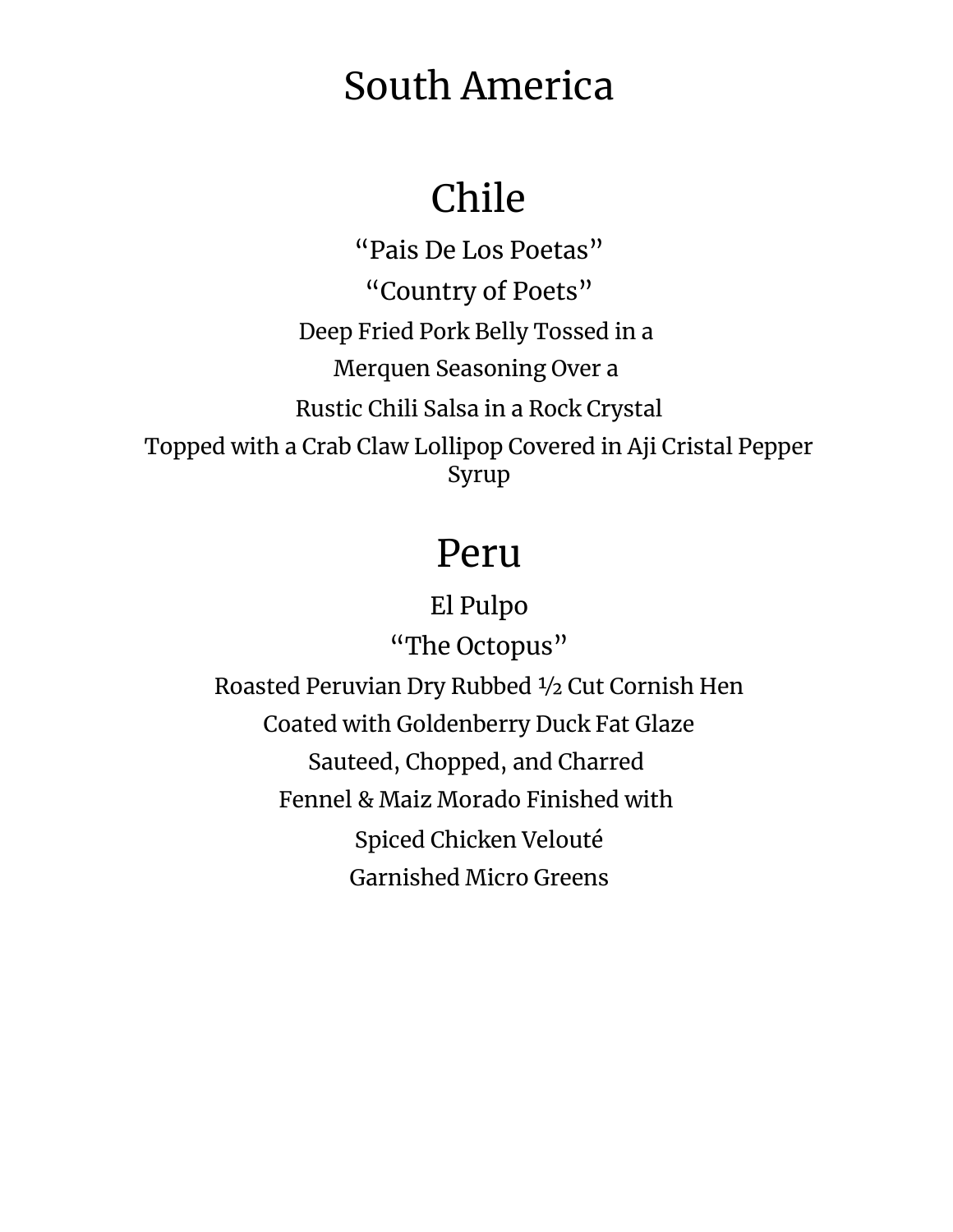# South America

# Chile

"Pais De Los Poetas" "Country of Poets" Deep Fried Pork Belly Tossed in a Merquen Seasoning Over a Rustic Chili Salsa in a Rock Crystal Topped with a Crab Claw Lollipop Covered in Aji Cristal Pepper Syrup

## Peru

El Pulpo

"The Octopus" Roasted Peruvian Dry Rubbed ½ Cut Cornish Hen Coated with Goldenberry Duck Fat Glaze Sauteed, Chopped, and Charred Fennel & Maiz Morado Finished with Spiced Chicken Velouté Garnished Micro Greens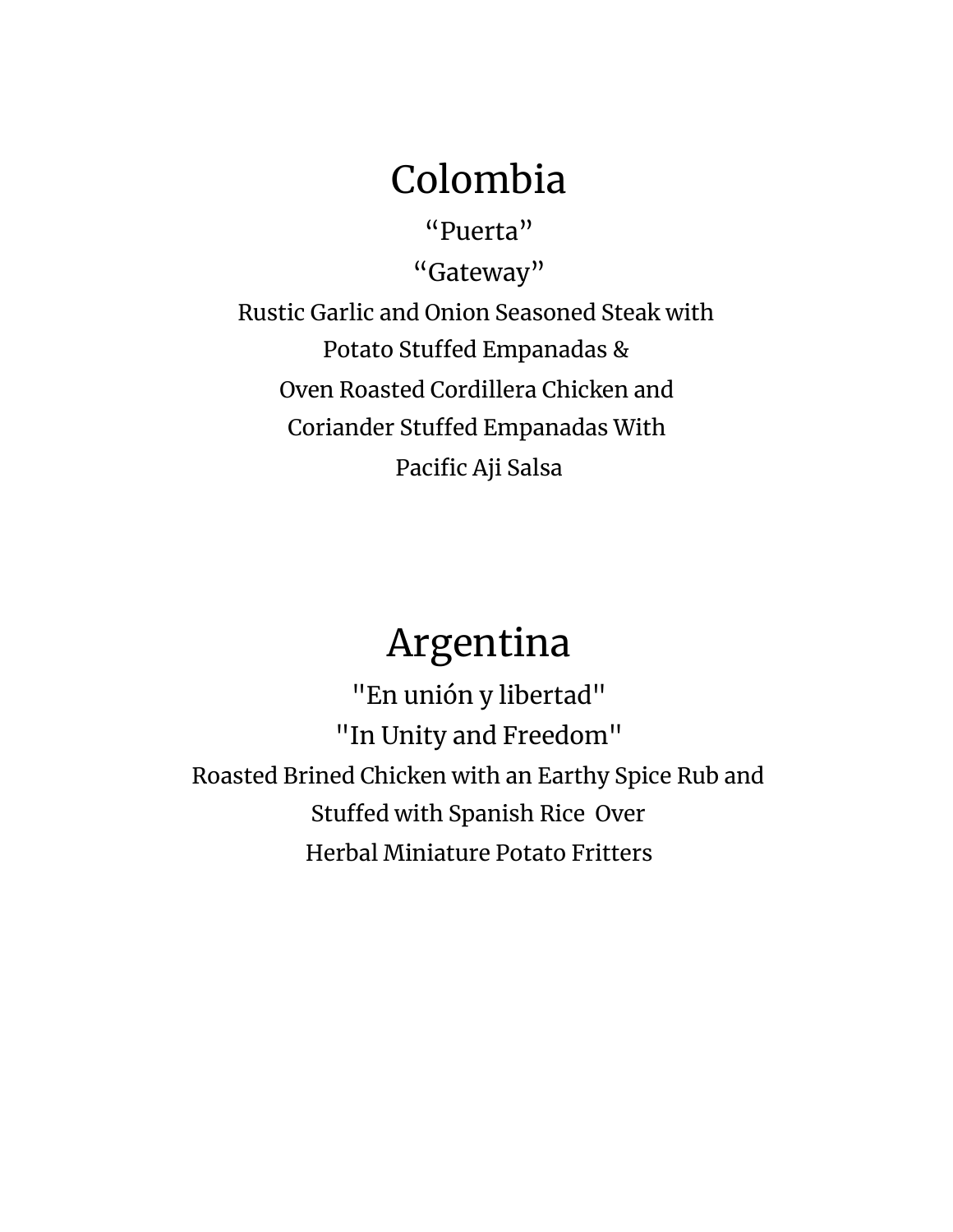## Colombia

"Puerta" "Gateway" Rustic Garlic and Onion Seasoned Steak with Potato Stuffed Empanadas & Oven Roasted Cordillera Chicken and Coriander Stuffed Empanadas With Pacific Aji Salsa

# Argentina

"En unión y libertad" "In Unity and Freedom" Roasted Brined Chicken with an Earthy Spice Rub and Stuffed with Spanish Rice Over Herbal Miniature Potato Fritters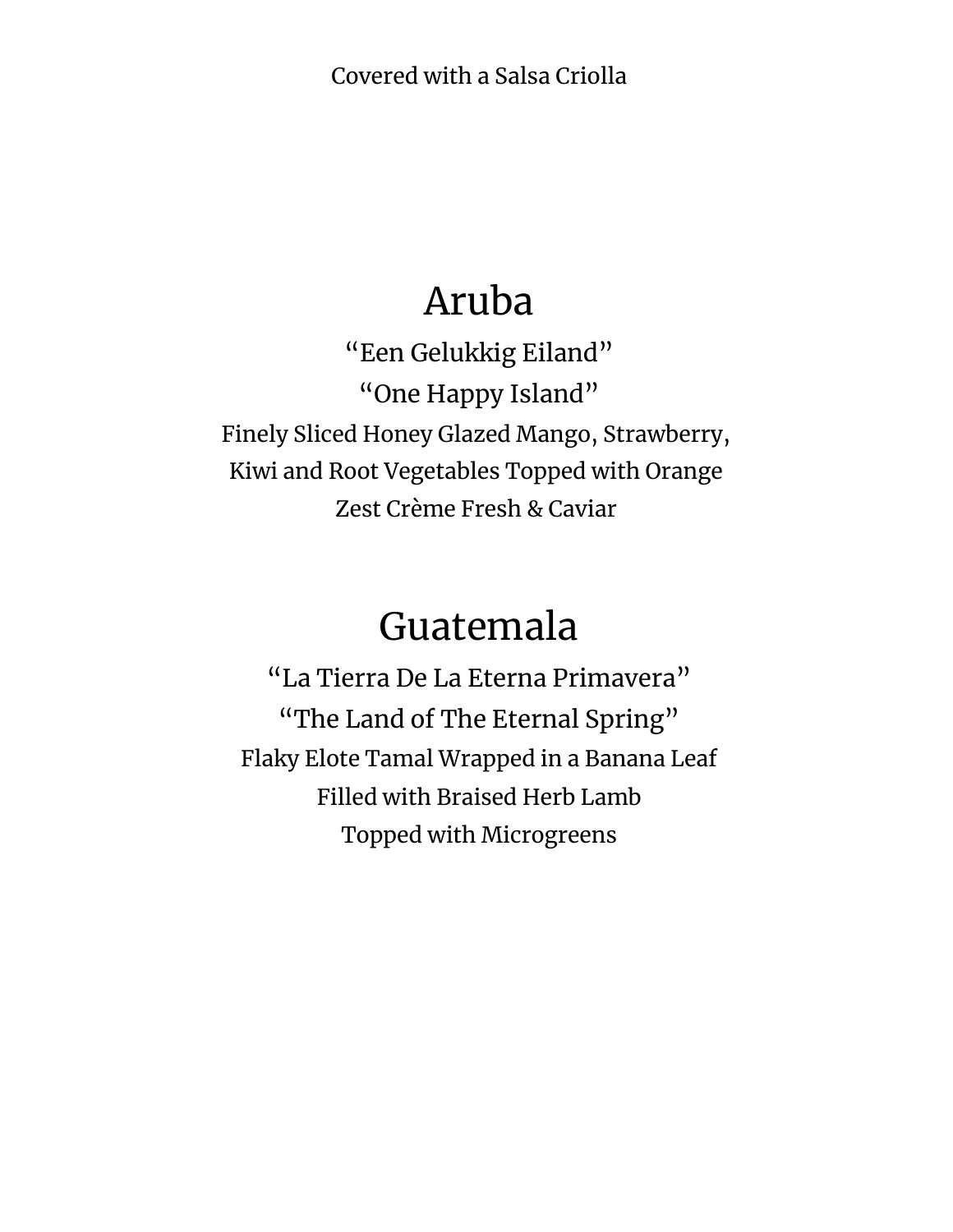Covered with a Salsa Criolla

#### Aruba

"Een Gelukkig Eiland" "One Happy Island" Finely Sliced Honey Glazed Mango, Strawberry, Kiwi and Root Vegetables Topped with Orange Zest Crème Fresh & Caviar

#### Guatemala

"La Tierra De La Eterna Primavera" "The Land of The Eternal Spring" Flaky Elote Tamal Wrapped in a Banana Leaf Filled with Braised Herb Lamb Topped with Microgreens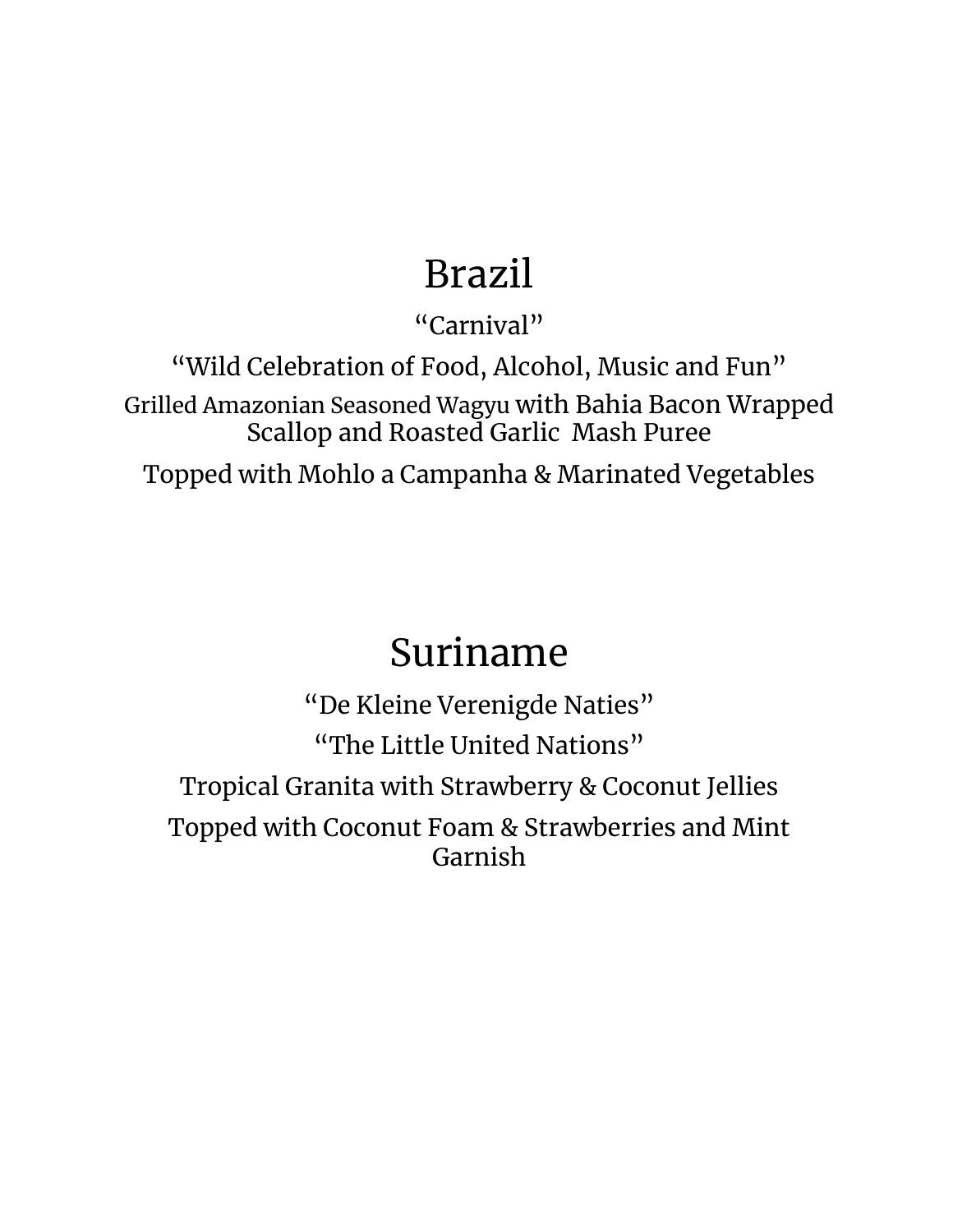# Brazil

"Carnival"

"Wild Celebration of Food, Alcohol, Music and Fun" Grilled Amazonian Seasoned Wagyu with Bahia Bacon Wrapped Scallop and Roasted Garlic Mash Puree

Topped with Mohlo a Campanha & Marinated Vegetables

### Suriname

"De Kleine Verenigde Naties" "The Little United Nations" Tropical Granita with Strawberry & Coconut Jellies Topped with Coconut Foam & Strawberries and Mint Garnish